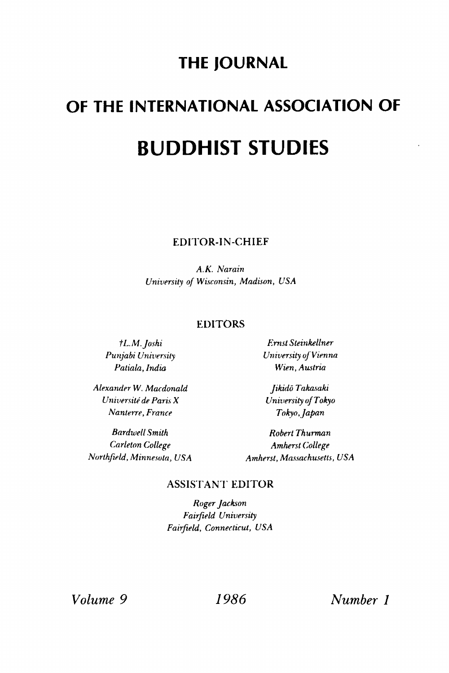# **THE JOURNAL**

# **OF THE INTERNATIONAL ASSOCIATION OF BUDDHIST STUDIES**

**EDITOR-IN-CHIEF** 

*A.K. Narain University of Wisconsin, Madison, USA* 

# **EDITORS**

*Alexander W. Macdonald Jikido Takasaki Universile de Paris X University of Tokyo Nanterre, France Tokyo, Japan* 

*tL. M.Joshi Ernst Steinkellner Punjabi University University oj Vienna Patiala, India Wien, Austria* 

*Bardwell Smith Robert Thurman Carleton College Amherst College Northfield, Minnesota, USA Amherst, Massachusetts, USA* 

# **ASSISTANT EDITOR**

*Roger Jackson Fairfield University Fairfield, Connecticut, USA* 

*Volume 9 1986 Number 1*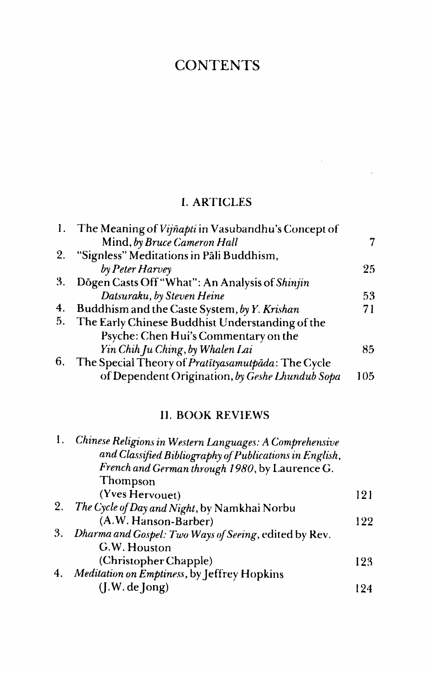# **CONTENTS**

# I. ARTICLES

 $\sim$ 

l,

| The Meaning of Vijñapti in Vasubandhu's Concept of |     |
|----------------------------------------------------|-----|
| Mind, by Bruce Cameron Hall                        |     |
| "Signless" Meditations in Pāli Buddhism,           |     |
| by Peter Harvey                                    | 25  |
| Dōgen Casts Off "What": An Analysis of Shinjin     |     |
| Datsuraku, by Steven Heine                         | 53  |
| Buddhism and the Caste System, by Y. Krishan       | 71  |
| The Early Chinese Buddhist Understanding of the    |     |
| Psyche: Chen Hui's Commentary on the               |     |
| Yin Chih Ju Ching, by Whalen Lai                   | 85  |
| The Special Theory of Pratityasamutpāda: The Cycle |     |
| of Dependent Origination, by Geshe Lhundub Sopa    | 105 |
|                                                    |     |

# II. BOOK REVIEWS

| $\mathbf{I}_{\mathbf{r}}$ | Chinese Religions in Western Languages: A Comprehensive |     |
|---------------------------|---------------------------------------------------------|-----|
|                           | and Classified Bibliography of Publications in English, |     |
|                           | French and German through 1980, by Laurence G.          |     |
|                           | Thompson                                                |     |
|                           | (Yves Hervouet)                                         | 121 |
| 2.                        | The Cycle of Day and Night, by Namkhai Norbu            |     |
|                           | (A.W. Hanson-Barber)                                    | 122 |
| 3.                        | Dharma and Gospel: Two Ways of Seeing, edited by Rev.   |     |
|                           | G.W. Houston                                            |     |
|                           | (Christopher Chapple)                                   | 123 |
| 4.                        | Meditation on Emptiness, by Jeffrey Hopkins             |     |
|                           | (J.W.de Jong)                                           | 124 |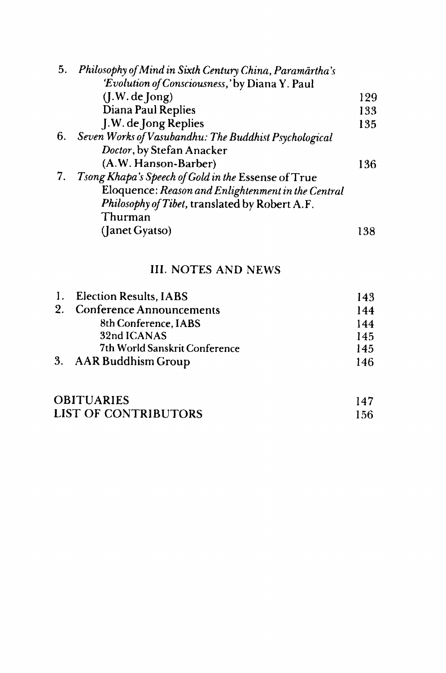| Philosophy of Mind in Sixth Century China, Paramārtha's |
|---------------------------------------------------------|
|                                                         |
| 129                                                     |
| 133                                                     |
| 135                                                     |
| Seven Works of Vasubandhu: The Buddhist Psychological   |
|                                                         |
| 136                                                     |
|                                                         |
| Eloquence: Reason and Enlightenment in the Central      |
|                                                         |
|                                                         |
| 138                                                     |
|                                                         |

# III. NOTES AND NEWS

|  | 1. Election Results, IABS     | 143 |
|--|-------------------------------|-----|
|  | 2. Conference Announcements   | 144 |
|  | 8th Conference, IABS          | 144 |
|  | 32nd ICANAS                   | 145 |
|  | 7th World Sanskrit Conference | 145 |
|  | 3. AAR Buddhism Group         | 146 |

| <b>OBITUARIES</b>    |     |
|----------------------|-----|
| LIST OF CONTRIBUTORS | 156 |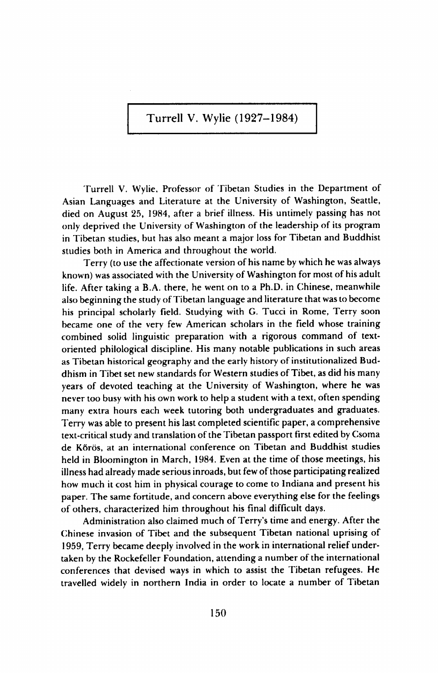**Turrell V. Wylie (1927-1984)** 

Turrell V. Wylie, Professor of Tibetan Studies in the Department of Asian Languages and Literature at the University of Washington, Seattle, died on August 25, 1984, after a brief illness. His untimely passing has not only deprived the University of Washington of the leadership of its program in Tibetan studies, but has also meant a major loss for Tibetan and Buddhist studies both in America and throughout the world.

Terry (to use the affectionate version of his name by which he was always known) was associated with the University of Washington for most of his adult life. After taking a B.A. there, he went on to a Ph.D. in Chinese, meanwhile also beginning the study of Tibetan language and literature that was to become his principal scholarly field. Studying with G. Tucci in Rome, Terry soon became one of the very few American scholars in the field whose training combined solid linguistic preparation with a rigorous command of textoriented philological discipline. His many notable publications in such areas as Tibetan historical geography and the early history of institutionalized Buddhism in Tibet set new standards for Western studies of Tibet, as did his many years of devoted teaching at the University of Washington, where he was never too busy with his own work to help a student with a text, often spending many extra hours each week tutoring both undergraduates and graduates. Terry was able to present his last completed scientific paper, a comprehensive text-critical study and translation of the Tibetan passport first edited by Csoma de Kőrös, at an international conference on Tibetan and Buddhist studies held in Bloomington in March, 1984. Even at the time of those meetings, his illness had already made serious inroads, but few of those participating realized how much it cost him in physical courage to come to Indiana and present his paper. The same fortitude, and concern above everything else for the feelings of others, characterized him throughout his final difficult days.

Administration also claimed much of Terry's time and energy. After the Chinese invasion of Tibet and the subsequent Tibetan national uprising of 1959, Terry became deeply involved in the work in international relief undertaken by the Rockefeller Foundation, attending a number of the international conferences that devised ways in which to assist the Tibetan refugees. He travelled widely in northern India in order to locate a number of Tibetan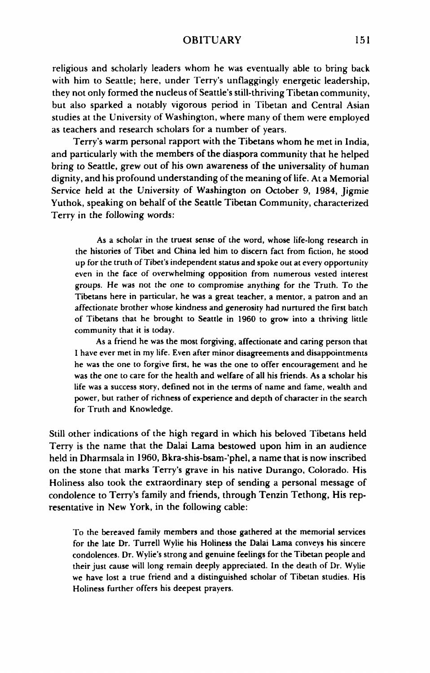## OBITUARY 151

religious and scholarly leaders whom he was eventually able to bring back with him to Seattle; here, under Terry's unflaggingly energetic leadership, they not only formed the nucleus of Seattle's still-thriving Tibetan community, but also sparked a notably vigorous period in Tibetan and Central Asian studies at the University of Washington, where many of them were employed as teachers and research scholars for a number of years.

Terry's warm personal rapport with the Tibetans whom he met in India, and particularly with the members of the diaspora community that he helped bring to Seattle, grew out of his own awareness of the universality of human dignity, and his profound understanding of the meaning of life. At a Memorial Service held at the University of Washington on October 9, 1984, Jigmie Yuthok, speaking on behalf of the Seattle Tibetan Community, characterized Terry in the following words:

As a scholar in the truest sense of the word, whose life-long research in the histories of Tibet and China led him to discern fact from fiction, he stood up for the truth of Tibet's independent status and spoke out at every opportunity even in the face of overwhelming opposition from numerous vested interest groups. He was not the one to compromise anything for the Truth. To the Tibetans here in particular, he was a great teacher, a mentor, a patron and an affectionate brother whose kindness and generosity had nurtured the first batch of Tibetans that he brought to Seattle in 1960 to grow into a thriving little community that it is today.

As a friend he was the most forgiving, affectionate and caring person that I have ever met in my life. Even after minor disagreements and disappointments he was the one to forgive first, he was the one to offer encouragement and he was the one to care for the health and welfare of all his friends. As a scholar his life was a success story, defined not in the terms of name and fame, wealth and power, but rather of richness of experience and depth of character in the search for Truth and Knowledge.

Still other indications of the high regard in which his beloved Tibetans held Terry is the name that the Dalai Lama bestowed upon him in an audience held in Dharmsala in 1960, Bkra-shis-bsam-'phel, a name that is now inscribed on the stone that marks Terry's grave in his native Durango, Colorado. His Holiness also took the extraordinary step of sending a personal message of condolence to Terry's family and friends, through Tenzin Tethong, His representative in New York, in the following cable:

To the bereaved family members and those gathered at the memorial services for the late Dr. Turrell Wylie his Holiness the Dalai Lama conveys his sincere condolences. Dr. Wylie's strong and genuine feelings for the Tibetan people and their just cause will long remain deeply appreciated. In the death of Dr. Wylie we have lost a true friend and a distinguished scholar of Tibetan studies. His Holiness further offers his deepest prayers.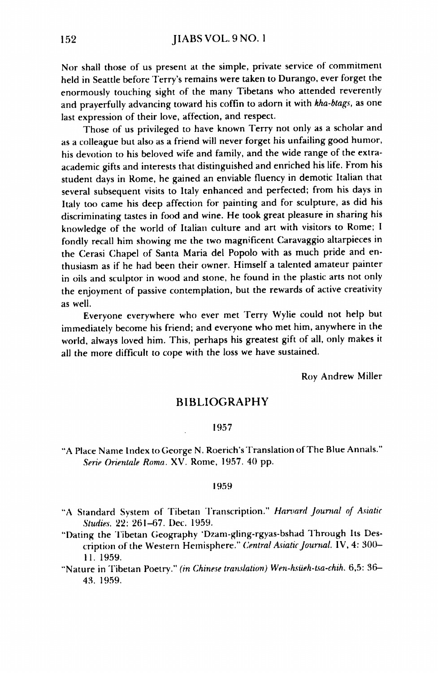Nor shall those of us present at the simple, private service of commitment held in Seattle before Terry's remains were taken to Durango, ever forget the enormously touching sight of the many Tibetans who attended reverently and prayerfully advancing toward his coffin to adorn it with *kha-btags,* as one last expression of their love, affection, and respect.

Those of us privileged to have known Terry not only as a scholar and as a colleague but also as a friend will never forget his unfailing good humor, his devotion to his beloved wife and family, and the wide range of the extraacademic gifts and interests that distinguished and enriched his life. From his student days in Rome, he gained an enviable fluency in demotic Italian that several subsequent visits to Italy enhanced and perfected; from his days in Italy too came his deep affection for painting and for sculpture, as did his discriminating tastes in food and wine. He took great pleasure in sharing his knowledge of the world of Italian culture and art with visitors to Rome; I fondly recall him showing me the two magnificent Caravaggio altarpieces in the Cerasi Chapel of Santa Maria del Popolo with as much pride and enthusiasm as if he had been their owner. Himself a talented amateur painter in oils and sculptor in wood and stone, he found in the plastic arts not only the enjoyment of passive contemplation, but the rewards of active creativity as well.

Everyone everywhere who ever met Terry Wylie could not help but immediately become his friend; and everyone who met him, anywhere in the world, always loved him. This, perhaps his greatest gift of all, only makes it all the more difficult to cope with the loss we have sustained.

Roy Andrew Miller

## **BIBLIOGRAPHY**

#### 1957

"A Place Name Index to George N. Roerich's Translation of The Blue Annals." *Serie Orientale Roma.* XV. Rome, 1957. 40 pp.

#### 1959

- "A Standard System of Tibetan Transcription." *Harvard Journal of Asiatic Studies.* 22: 261-67. Dec. 1959.
- "Dating the Tibetan Geography 'Dzam-gling-rgyas-bshad Through Its Description of the Western Hemisphere." *Central Asiatic Journal.* IV, 4: 300- 11. 1959.
- "Nature in Tibetan Poetry." *(in Chinese translation) Wen-hsiieh-tia-chih.* 6,5: 36- 43. 1959.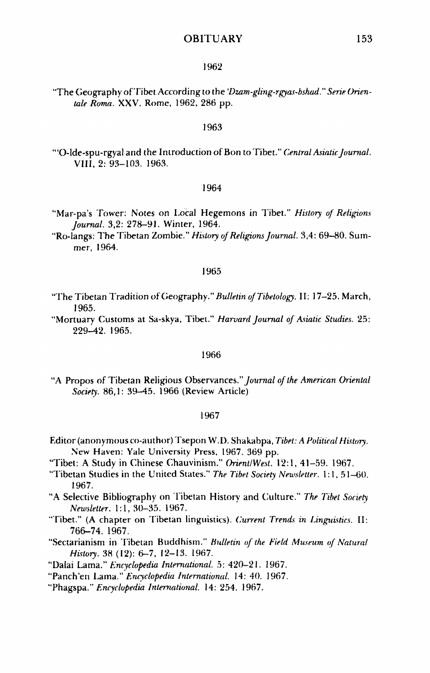## OBITUARY 153

#### 1962

"The Geography of Tibet According to the *'Dzam-gling-rgyas-bshad." Serie (Mentale Roma.* XXV. Rome, 1962, 286 pp.

#### 1963

'"O-lde-spu-rgyal and the Introduction of Bon toTibet." *Central Asiatic Journal.*  VIII, 2: 93-103. 1963.

#### 1964

- "Mar-pa's Tower: Notes on Local Hegemons in Tibet." *History of Religions Journal.* 3,2: 278-91. Winter, 1964.
- "Ro-langs: The Tibetan Zombie." *History of Religions Journal.* 3,4: 69—80. Summer, 1964.

#### 1965

- "The Tibetan Tradition of Geography." *Bulletin ofTibetology.* 11:17-25. March, 1965.
- "Mortuary Customs at Sa-skya, Tibet." *Harvard Journal of Asiatic Studies.* 25: 229-42. 1965.

#### 1966

"A Propos of Tibetan Religious Observances." *Journal of the American Oriental Society.* 86,1: 39-45. 1966 (Review Article)

#### 1967

- Editor (anonymous co-author) Tsepon W.I). Shakabpa, *Tibet: A Political History.*  New Haven: Yale University Press, 1967. 369 pp.
- "Tibet: A Study in Chinese Chauvinism." *Orient/West.* 12:1, 41-59. 1967.
- "Tibetan Studies in the United States." *The Tibet Society Newsletter.* 1:1, 51-60. 1967.
- "A Selective Bibliography on Tibetan History and Culture." *The Tibet Society Newsletter.* 1:1, 30-35. 1967.
- "Tibet." (A chapter on Tibetan linguistics). *Current Trends in Linguistics.* II: 766-74. 1967.
- "Sectarianism in Tibetan Buddhism." *Bulletin of the Field Museum of Natural History.* 38 (12): 6-7, 12-13. 1967.
- "Dalai Lama." *Encyclopedia International.* 5: 420-21. 1967.
- "Panch'en Lama." *Encyclopedia International.* 14:40. 1967.
- "Phagspa." *Encyclopedia International.* 14:254. 1967.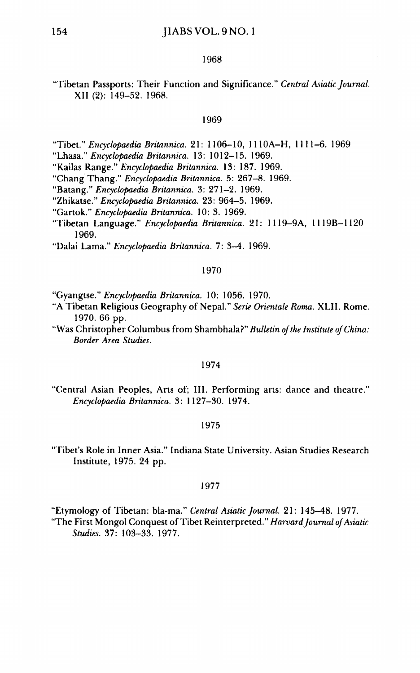### 154 **JIABS VOL. 9 NO. 1**

#### 1968

## "Tibetan Passports: Their Function and Significance." *Central Asiatic Journal.*  XII (2): 149-52. 1968.

#### 1969

"Tibet." *Encyclopaedia Britannica.* 21: 1106-10, 1110A-H, 1111-6. 1969

- "Lhasa." *Encyclopaedia Britannica.* 13: 1012-15. 1969.
- "Kailas Range." *Encyclopaedia Britannica.* 13: 187. 1969.
- "Chang Thang." *Encyclopaedia Britannica.* 5: 267—8. 1969.
- "Batang." *Encyclopaedia Britannica.* 3: 271—2. 1969.
- "Zhikatse." *Encyclopaedia Britannica.* 23: 964-5. 1969.
- "Gartok." *Encyclopaedia Britannica.* 10:3. 1969.
- "Tibetan Language." *Encyclopaedia Britannica.* 21: 1119-9A, 1119B-1120 1969.

"Dalai Lama." *Encyclopaedia Britannica.* 7: 3—4. 1969.

#### 1970

- "Gyangtse." *Encyclopaedia Britannica.* 10: 1056. 1970.
- "A Tibetan Religious Geography of Nepal." *Serie Orientale Roma.* XLII. Rome. 1970. 66 pp.
- "Was Christopher Columbus from Shambhala?" *Bulletin of the Institute of China: Border Area Studies.*

#### 1974

"Central Asian Peoples, Arts of; III. Performing arts: dance and theatre." *Encyclopaedia Britannica.* 3: 1127-30. 1974.

#### 1975

"Tibet's Role in Inner Asia." Indiana State University. Asian Studies Research Institute, 1975. 24 pp.

#### 1977

"Etymology of Tibetan: bla-ma." *Central Asiatic Journal.* 21: 145-48. 1977. "The First Mongol Conquest of Tibet Reinterpreted." *Harvard Journal of Asiatic Studies.* 37: 103-33. 1977.